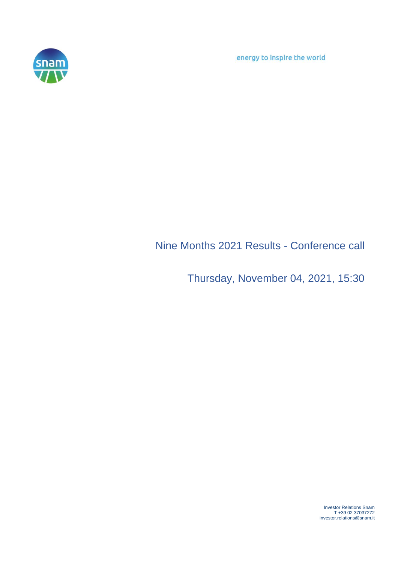energy to inspire the world



## Nine Months 2021 Results - Conference call

Thursday, November 04, 2021, 15:30

Investor Relations Snam T +39 02 37037272 investor.relations@snam.it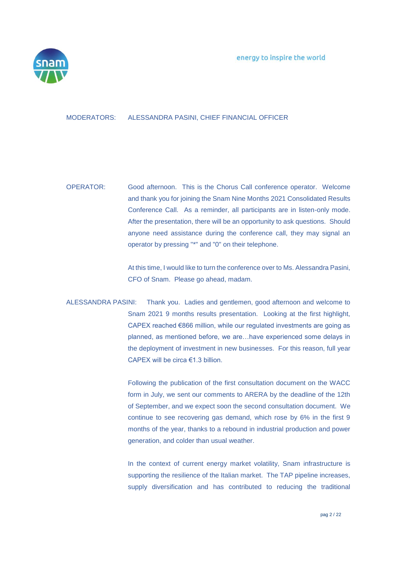

## MODERATORS: ALESSANDRA PASINI, CHIEF FINANCIAL OFFICER

OPERATOR: Good afternoon. This is the Chorus Call conference operator. Welcome and thank you for joining the Snam Nine Months 2021 Consolidated Results Conference Call. As a reminder, all participants are in listen-only mode. After the presentation, there will be an opportunity to ask questions. Should anyone need assistance during the conference call, they may signal an operator by pressing "\*" and "0" on their telephone.

> At this time, I would like to turn the conference over to Ms. Alessandra Pasini, CFO of Snam. Please go ahead, madam.

ALESSANDRA PASINI: Thank you. Ladies and gentlemen, good afternoon and welcome to Snam 2021 9 months results presentation. Looking at the first highlight, CAPEX reached €866 million, while our regulated investments are going as planned, as mentioned before, we are…have experienced some delays in the deployment of investment in new businesses. For this reason, full year CAPEX will be circa €1.3 billion.

> Following the publication of the first consultation document on the WACC form in July, we sent our comments to ARERA by the deadline of the 12th of September, and we expect soon the second consultation document. We continue to see recovering gas demand, which rose by 6% in the first 9 months of the year, thanks to a rebound in industrial production and power generation, and colder than usual weather.

> In the context of current energy market volatility, Snam infrastructure is supporting the resilience of the Italian market. The TAP pipeline increases, supply diversification and has contributed to reducing the traditional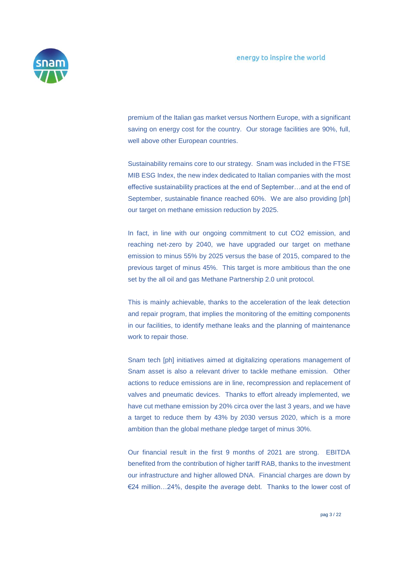

premium of the Italian gas market versus Northern Europe, with a significant saving on energy cost for the country. Our storage facilities are 90%, full, well above other European countries.

Sustainability remains core to our strategy. Snam was included in the FTSE MIB ESG Index, the new index dedicated to Italian companies with the most effective sustainability practices at the end of September…and at the end of September, sustainable finance reached 60%. We are also providing [ph] our target on methane emission reduction by 2025.

In fact, in line with our ongoing commitment to cut CO2 emission, and reaching net-zero by 2040, we have upgraded our target on methane emission to minus 55% by 2025 versus the base of 2015, compared to the previous target of minus 45%. This target is more ambitious than the one set by the all oil and gas Methane Partnership 2.0 unit protocol.

This is mainly achievable, thanks to the acceleration of the leak detection and repair program, that implies the monitoring of the emitting components in our facilities, to identify methane leaks and the planning of maintenance work to repair those.

Snam tech [ph] initiatives aimed at digitalizing operations management of Snam asset is also a relevant driver to tackle methane emission. Other actions to reduce emissions are in line, recompression and replacement of valves and pneumatic devices. Thanks to effort already implemented, we have cut methane emission by 20% circa over the last 3 years, and we have a target to reduce them by 43% by 2030 versus 2020, which is a more ambition than the global methane pledge target of minus 30%.

Our financial result in the first 9 months of 2021 are strong. EBITDA benefited from the contribution of higher tariff RAB, thanks to the investment our infrastructure and higher allowed DNA. Financial charges are down by €24 million…24%, despite the average debt. Thanks to the lower cost of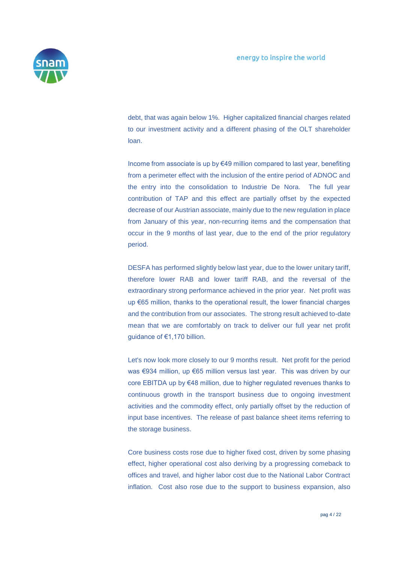

debt, that was again below 1%. Higher capitalized financial charges related to our investment activity and a different phasing of the OLT shareholder loan.

Income from associate is up by €49 million compared to last year, benefiting from a perimeter effect with the inclusion of the entire period of ADNOC and the entry into the consolidation to Industrie De Nora. The full year contribution of TAP and this effect are partially offset by the expected decrease of our Austrian associate, mainly due to the new regulation in place from January of this year, non-recurring items and the compensation that occur in the 9 months of last year, due to the end of the prior regulatory period.

DESFA has performed slightly below last year, due to the lower unitary tariff, therefore lower RAB and lower tariff RAB, and the reversal of the extraordinary strong performance achieved in the prior year. Net profit was up €65 million, thanks to the operational result, the lower financial charges and the contribution from our associates. The strong result achieved to-date mean that we are comfortably on track to deliver our full year net profit guidance of €1,170 billion.

Let's now look more closely to our 9 months result. Net profit for the period was €934 million, up €65 million versus last year. This was driven by our core EBITDA up by €48 million, due to higher regulated revenues thanks to continuous growth in the transport business due to ongoing investment activities and the commodity effect, only partially offset by the reduction of input base incentives. The release of past balance sheet items referring to the storage business.

Core business costs rose due to higher fixed cost, driven by some phasing effect, higher operational cost also deriving by a progressing comeback to offices and travel, and higher labor cost due to the National Labor Contract inflation. Cost also rose due to the support to business expansion, also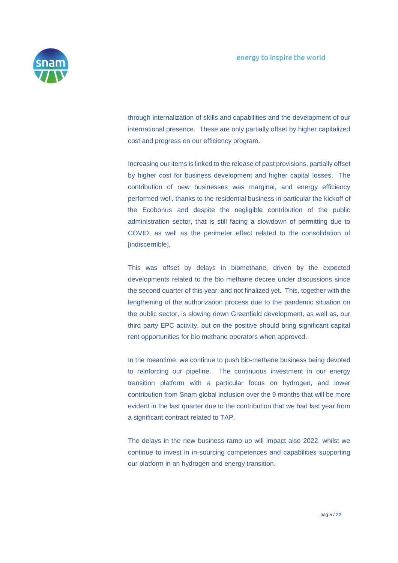

through internalization of skills and capabilities and the development of our international presence. These are only partially offset by higher capitalized cost and progress on our efficiency program.

Increasing our items is linked to the release of past provisions, partially offset by higher cost for business development and higher capital losses. The contribution of new businesses was marginal, and energy efficiency performed well, thanks to the residential business in particular the kickoff of the Ecobonus and despite the negligible contribution of the public administration sector, that is still facing a slowdown of permitting due to COVID, as well as the perimeter effect related to the consolidation of [indiscernible].

This was offset by delays in biomethane, driven by the expected developments related to the bio methane decree under discussions since the second quarter of this year, and not finalized yet. This, together with the lengthening of the authorization process due to the pandemic situation on the public sector, is slowing down Greenfield development, as well as, our third party EPC activity, but on the positive should bring significant capital rent opportunities for bio methane operators when approved.

In the meantime, we continue to push bio-methane business being devoted to reinforcing our pipeline. The continuous investment in our energy transition platform with a particular focus on hydrogen, and lower contribution from Snam global inclusion over the 9 months that will be more evident in the last quarter due to the contribution that we had last year from a significant contract related to TAP.

The delays in the new business ramp up will impact also 2022, whilst we continue to invest in in-sourcing competences and capabilities supporting our platform in an hydrogen and energy transition.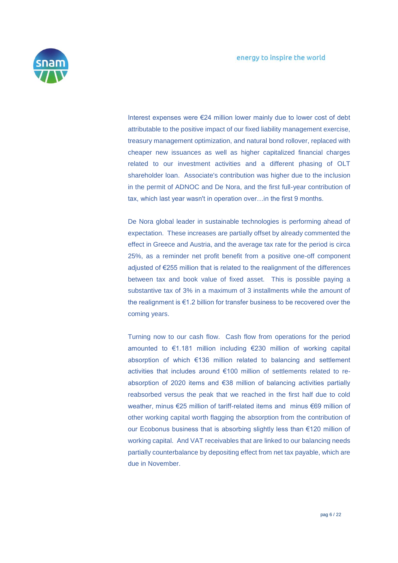

Interest expenses were €24 million lower mainly due to lower cost of debt attributable to the positive impact of our fixed liability management exercise, treasury management optimization, and natural bond rollover, replaced with cheaper new issuances as well as higher capitalized financial charges related to our investment activities and a different phasing of OLT shareholder loan. Associate's contribution was higher due to the inclusion in the permit of ADNOC and De Nora, and the first full-year contribution of tax, which last year wasn't in operation over…in the first 9 months.

De Nora global leader in sustainable technologies is performing ahead of expectation. These increases are partially offset by already commented the effect in Greece and Austria, and the average tax rate for the period is circa 25%, as a reminder net profit benefit from a positive one-off component adjusted of €255 million that is related to the realignment of the differences between tax and book value of fixed asset. This is possible paying a substantive tax of 3% in a maximum of 3 installments while the amount of the realignment is €1.2 billion for transfer business to be recovered over the coming years.

Turning now to our cash flow. Cash flow from operations for the period amounted to €1.181 million including €230 million of working capital absorption of which €136 million related to balancing and settlement activities that includes around €100 million of settlements related to reabsorption of 2020 items and €38 million of balancing activities partially reabsorbed versus the peak that we reached in the first half due to cold weather, minus €25 million of tariff-related items and minus €69 million of other working capital worth flagging the absorption from the contribution of our Ecobonus business that is absorbing slightly less than €120 million of working capital. And VAT receivables that are linked to our balancing needs partially counterbalance by depositing effect from net tax payable, which are due in November.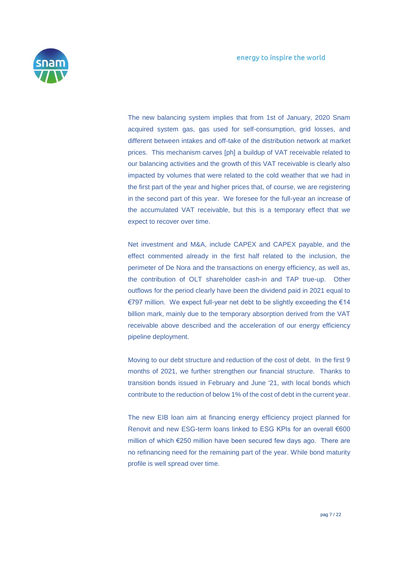

The new balancing system implies that from 1st of January, 2020 Snam acquired system gas, gas used for self-consumption, grid losses, and different between intakes and off-take of the distribution network at market prices. This mechanism carves [ph] a buildup of VAT receivable related to our balancing activities and the growth of this VAT receivable is clearly also impacted by volumes that were related to the cold weather that we had in the first part of the year and higher prices that, of course, we are registering in the second part of this year. We foresee for the full-year an increase of the accumulated VAT receivable, but this is a temporary effect that we expect to recover over time.

Net investment and M&A, include CAPEX and CAPEX payable, and the effect commented already in the first half related to the inclusion, the perimeter of De Nora and the transactions on energy efficiency, as well as, the contribution of OLT shareholder cash-in and TAP true-up. Other outflows for the period clearly have been the dividend paid in 2021 equal to €797 million. We expect full-year net debt to be slightly exceeding the €14 billion mark, mainly due to the temporary absorption derived from the VAT receivable above described and the acceleration of our energy efficiency pipeline deployment.

Moving to our debt structure and reduction of the cost of debt. In the first 9 months of 2021, we further strengthen our financial structure. Thanks to transition bonds issued in February and June '21, with local bonds which contribute to the reduction of below 1% of the cost of debt in the current year.

The new EIB loan aim at financing energy efficiency project planned for Renovit and new ESG-term loans linked to ESG KPIs for an overall €600 million of which €250 million have been secured few days ago. There are no refinancing need for the remaining part of the year. While bond maturity profile is well spread over time.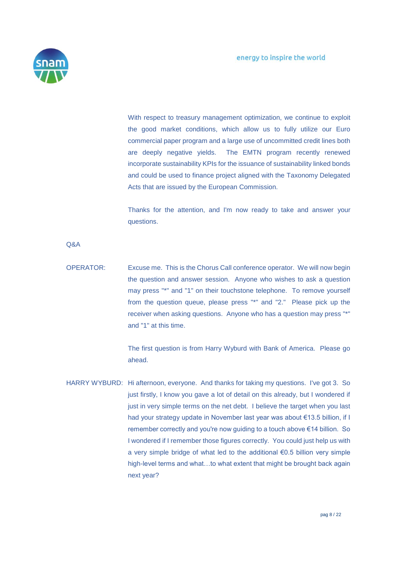

With respect to treasury management optimization, we continue to exploit the good market conditions, which allow us to fully utilize our Euro commercial paper program and a large use of uncommitted credit lines both are deeply negative yields. The EMTN program recently renewed incorporate sustainability KPIs for the issuance of sustainability linked bonds and could be used to finance project aligned with the Taxonomy Delegated Acts that are issued by the European Commission.

Thanks for the attention, and I'm now ready to take and answer your questions.

Q&A

OPERATOR: Excuse me. This is the Chorus Call conference operator. We will now begin the question and answer session. Anyone who wishes to ask a question may press "\*" and "1" on their touchstone telephone. To remove yourself from the question queue, please press "\*" and "2." Please pick up the receiver when asking questions. Anyone who has a question may press "\*" and "1" at this time.

> The first question is from Harry Wyburd with Bank of America. Please go ahead.

HARRY WYBURD: Hi afternoon, everyone. And thanks for taking my questions. I've got 3. So just firstly, I know you gave a lot of detail on this already, but I wondered if just in very simple terms on the net debt. I believe the target when you last had your strategy update in November last year was about €13.5 billion, if I remember correctly and you're now guiding to a touch above €14 billion. So I wondered if I remember those figures correctly. You could just help us with a very simple bridge of what led to the additional €0.5 billion very simple high-level terms and what…to what extent that might be brought back again next year?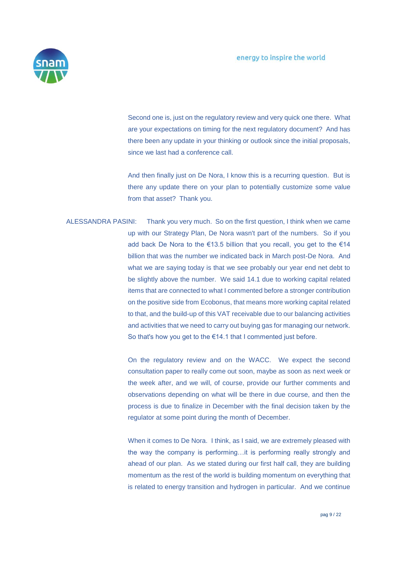

Second one is, just on the regulatory review and very quick one there. What are your expectations on timing for the next regulatory document? And has there been any update in your thinking or outlook since the initial proposals, since we last had a conference call.

And then finally just on De Nora, I know this is a recurring question. But is there any update there on your plan to potentially customize some value from that asset? Thank you.

ALESSANDRA PASINI: Thank you very much. So on the first question, I think when we came up with our Strategy Plan, De Nora wasn't part of the numbers. So if you add back De Nora to the €13.5 billion that you recall, you get to the €14 billion that was the number we indicated back in March post-De Nora. And what we are saying today is that we see probably our year end net debt to be slightly above the number. We said 14.1 due to working capital related items that are connected to what I commented before a stronger contribution on the positive side from Ecobonus, that means more working capital related to that, and the build-up of this VAT receivable due to our balancing activities and activities that we need to carry out buying gas for managing our network. So that's how you get to the €14.1 that I commented just before.

> On the regulatory review and on the WACC. We expect the second consultation paper to really come out soon, maybe as soon as next week or the week after, and we will, of course, provide our further comments and observations depending on what will be there in due course, and then the process is due to finalize in December with the final decision taken by the regulator at some point during the month of December.

> When it comes to De Nora. I think, as I said, we are extremely pleased with the way the company is performing…it is performing really strongly and ahead of our plan. As we stated during our first half call, they are building momentum as the rest of the world is building momentum on everything that is related to energy transition and hydrogen in particular. And we continue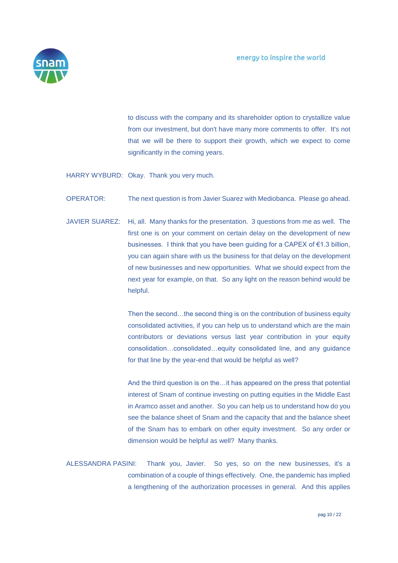

to discuss with the company and its shareholder option to crystallize value from our investment, but don't have many more comments to offer. It's not that we will be there to support their growth, which we expect to come significantly in the coming years.

HARRY WYBURD: Okay. Thank you very much.

OPERATOR: The next question is from Javier Suarez with Mediobanca. Please go ahead.

JAVIER SUAREZ: Hi, all. Many thanks for the presentation. 3 questions from me as well. The first one is on your comment on certain delay on the development of new businesses. I think that you have been guiding for a CAPEX of €1.3 billion, you can again share with us the business for that delay on the development of new businesses and new opportunities. What we should expect from the next year for example, on that. So any light on the reason behind would be helpful.

> Then the second…the second thing is on the contribution of business equity consolidated activities, if you can help us to understand which are the main contributors or deviations versus last year contribution in your equity consolidation…consolidated…equity consolidated line, and any guidance for that line by the year-end that would be helpful as well?

> And the third question is on the…it has appeared on the press that potential interest of Snam of continue investing on putting equities in the Middle East in Aramco asset and another. So you can help us to understand how do you see the balance sheet of Snam and the capacity that and the balance sheet of the Snam has to embark on other equity investment. So any order or dimension would be helpful as well? Many thanks.

ALESSANDRA PASINI: Thank you, Javier. So yes, so on the new businesses, it's a combination of a couple of things effectively. One, the pandemic has implied a lengthening of the authorization processes in general. And this applies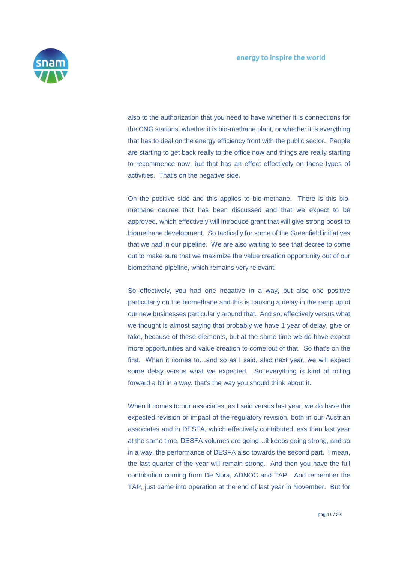

also to the authorization that you need to have whether it is connections for the CNG stations, whether it is bio-methane plant, or whether it is everything that has to deal on the energy efficiency front with the public sector. People are starting to get back really to the office now and things are really starting to recommence now, but that has an effect effectively on those types of activities. That's on the negative side.

On the positive side and this applies to bio-methane. There is this biomethane decree that has been discussed and that we expect to be approved, which effectively will introduce grant that will give strong boost to biomethane development. So tactically for some of the Greenfield initiatives that we had in our pipeline. We are also waiting to see that decree to come out to make sure that we maximize the value creation opportunity out of our biomethane pipeline, which remains very relevant.

So effectively, you had one negative in a way, but also one positive particularly on the biomethane and this is causing a delay in the ramp up of our new businesses particularly around that. And so, effectively versus what we thought is almost saying that probably we have 1 year of delay, give or take, because of these elements, but at the same time we do have expect more opportunities and value creation to come out of that. So that's on the first. When it comes to…and so as I said, also next year, we will expect some delay versus what we expected. So everything is kind of rolling forward a bit in a way, that's the way you should think about it.

When it comes to our associates, as I said versus last year, we do have the expected revision or impact of the regulatory revision, both in our Austrian associates and in DESFA, which effectively contributed less than last year at the same time, DESFA volumes are going…it keeps going strong, and so in a way, the performance of DESFA also towards the second part. I mean, the last quarter of the year will remain strong. And then you have the full contribution coming from De Nora, ADNOC and TAP. And remember the TAP, just came into operation at the end of last year in November. But for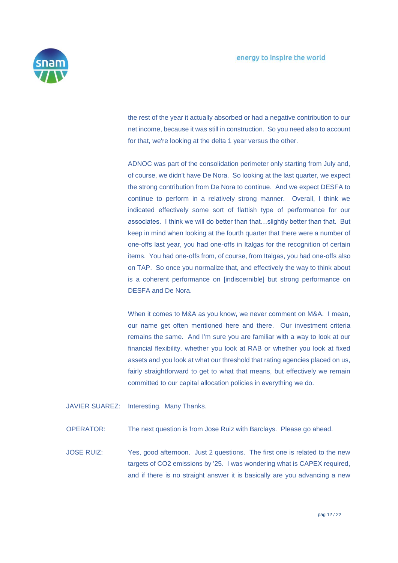

the rest of the year it actually absorbed or had a negative contribution to our net income, because it was still in construction. So you need also to account for that, we're looking at the delta 1 year versus the other.

ADNOC was part of the consolidation perimeter only starting from July and, of course, we didn't have De Nora. So looking at the last quarter, we expect the strong contribution from De Nora to continue. And we expect DESFA to continue to perform in a relatively strong manner. Overall, I think we indicated effectively some sort of flattish type of performance for our associates. I think we will do better than that…slightly better than that. But keep in mind when looking at the fourth quarter that there were a number of one-offs last year, you had one-offs in Italgas for the recognition of certain items. You had one-offs from, of course, from Italgas, you had one-offs also on TAP. So once you normalize that, and effectively the way to think about is a coherent performance on [indiscernible] but strong performance on DESFA and De Nora.

When it comes to M&A as you know, we never comment on M&A. I mean, our name get often mentioned here and there. Our investment criteria remains the same. And I'm sure you are familiar with a way to look at our financial flexibility, whether you look at RAB or whether you look at fixed assets and you look at what our threshold that rating agencies placed on us, fairly straightforward to get to what that means, but effectively we remain committed to our capital allocation policies in everything we do.

JAVIER SUAREZ: Interesting. Many Thanks.

OPERATOR: The next question is from Jose Ruiz with Barclays. Please go ahead.

JOSE RUIZ: Yes, good afternoon. Just 2 questions. The first one is related to the new targets of CO2 emissions by '25. I was wondering what is CAPEX required, and if there is no straight answer it is basically are you advancing a new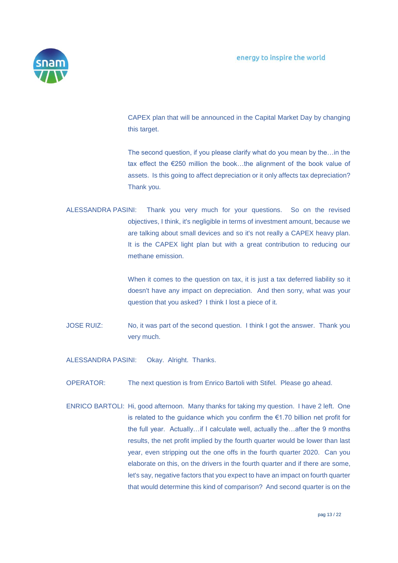

CAPEX plan that will be announced in the Capital Market Day by changing this target.

The second question, if you please clarify what do you mean by the…in the tax effect the €250 million the book…the alignment of the book value of assets. Is this going to affect depreciation or it only affects tax depreciation? Thank you.

ALESSANDRA PASINI: Thank you very much for your questions. So on the revised objectives, I think, it's negligible in terms of investment amount, because we are talking about small devices and so it's not really a CAPEX heavy plan. It is the CAPEX light plan but with a great contribution to reducing our methane emission.

> When it comes to the question on tax, it is just a tax deferred liability so it doesn't have any impact on depreciation. And then sorry, what was your question that you asked? I think I lost a piece of it.

JOSE RUIZ: No, it was part of the second question. I think I got the answer. Thank you very much.

ALESSANDRA PASINI: Okay. Alright. Thanks.

- OPERATOR: The next question is from Enrico Bartoli with Stifel. Please go ahead.
- ENRICO BARTOLI: Hi, good afternoon. Many thanks for taking my question. I have 2 left. One is related to the guidance which you confirm the €1.70 billion net profit for the full year. Actually…if I calculate well, actually the…after the 9 months results, the net profit implied by the fourth quarter would be lower than last year, even stripping out the one offs in the fourth quarter 2020. Can you elaborate on this, on the drivers in the fourth quarter and if there are some, let's say, negative factors that you expect to have an impact on fourth quarter that would determine this kind of comparison? And second quarter is on the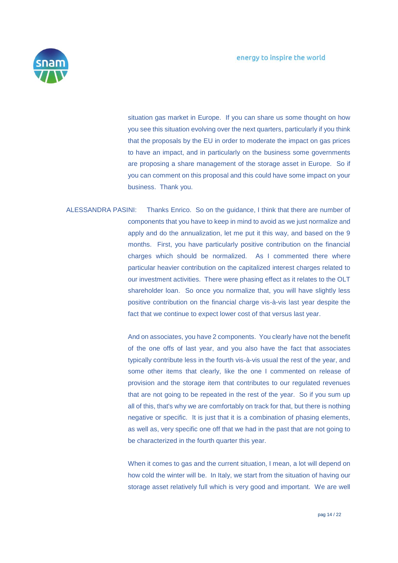

situation gas market in Europe. If you can share us some thought on how you see this situation evolving over the next quarters, particularly if you think that the proposals by the EU in order to moderate the impact on gas prices to have an impact, and in particularly on the business some governments are proposing a share management of the storage asset in Europe. So if you can comment on this proposal and this could have some impact on your business. Thank you.

ALESSANDRA PASINI: Thanks Enrico. So on the guidance, I think that there are number of components that you have to keep in mind to avoid as we just normalize and apply and do the annualization, let me put it this way, and based on the 9 months. First, you have particularly positive contribution on the financial charges which should be normalized. As I commented there where particular heavier contribution on the capitalized interest charges related to our investment activities. There were phasing effect as it relates to the OLT shareholder loan. So once you normalize that, you will have slightly less positive contribution on the financial charge vis-à-vis last year despite the fact that we continue to expect lower cost of that versus last year.

> And on associates, you have 2 components. You clearly have not the benefit of the one offs of last year, and you also have the fact that associates typically contribute less in the fourth vis-à-vis usual the rest of the year, and some other items that clearly, like the one I commented on release of provision and the storage item that contributes to our regulated revenues that are not going to be repeated in the rest of the year. So if you sum up all of this, that's why we are comfortably on track for that, but there is nothing negative or specific. It is just that it is a combination of phasing elements, as well as, very specific one off that we had in the past that are not going to be characterized in the fourth quarter this year.

> When it comes to gas and the current situation, I mean, a lot will depend on how cold the winter will be. In Italy, we start from the situation of having our storage asset relatively full which is very good and important. We are well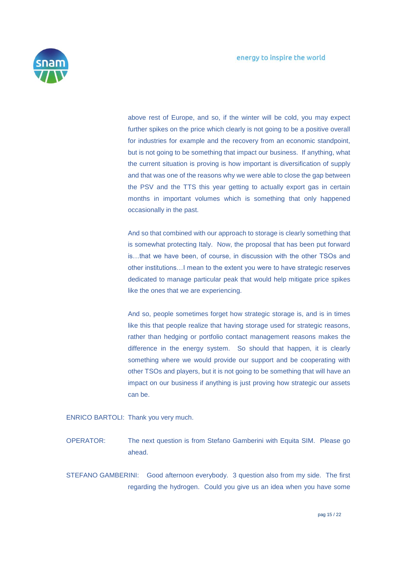

above rest of Europe, and so, if the winter will be cold, you may expect further spikes on the price which clearly is not going to be a positive overall for industries for example and the recovery from an economic standpoint, but is not going to be something that impact our business. If anything, what the current situation is proving is how important is diversification of supply and that was one of the reasons why we were able to close the gap between the PSV and the TTS this year getting to actually export gas in certain months in important volumes which is something that only happened occasionally in the past.

And so that combined with our approach to storage is clearly something that is somewhat protecting Italy. Now, the proposal that has been put forward is…that we have been, of course, in discussion with the other TSOs and other institutions…I mean to the extent you were to have strategic reserves dedicated to manage particular peak that would help mitigate price spikes like the ones that we are experiencing.

And so, people sometimes forget how strategic storage is, and is in times like this that people realize that having storage used for strategic reasons, rather than hedging or portfolio contact management reasons makes the difference in the energy system. So should that happen, it is clearly something where we would provide our support and be cooperating with other TSOs and players, but it is not going to be something that will have an impact on our business if anything is just proving how strategic our assets can be.

ENRICO BARTOLI: Thank you very much.

OPERATOR: The next question is from Stefano Gamberini with Equita SIM. Please go ahead.

STEFANO GAMBERINI: Good afternoon everybody. 3 question also from my side. The first regarding the hydrogen. Could you give us an idea when you have some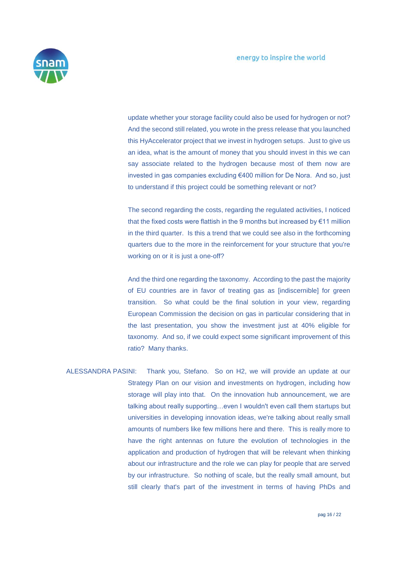

update whether your storage facility could also be used for hydrogen or not? And the second still related, you wrote in the press release that you launched this HyAccelerator project that we invest in hydrogen setups. Just to give us an idea, what is the amount of money that you should invest in this we can say associate related to the hydrogen because most of them now are invested in gas companies excluding €400 million for De Nora. And so, just to understand if this project could be something relevant or not?

The second regarding the costs, regarding the regulated activities, I noticed that the fixed costs were flattish in the 9 months but increased by €11 million in the third quarter. Is this a trend that we could see also in the forthcoming quarters due to the more in the reinforcement for your structure that you're working on or it is just a one-off?

And the third one regarding the taxonomy. According to the past the majority of EU countries are in favor of treating gas as [indiscernible] for green transition. So what could be the final solution in your view, regarding European Commission the decision on gas in particular considering that in the last presentation, you show the investment just at 40% eligible for taxonomy. And so, if we could expect some significant improvement of this ratio? Many thanks.

ALESSANDRA PASINI: Thank you, Stefano. So on H2, we will provide an update at our Strategy Plan on our vision and investments on hydrogen, including how storage will play into that. On the innovation hub announcement, we are talking about really supporting…even I wouldn't even call them startups but universities in developing innovation ideas, we're talking about really small amounts of numbers like few millions here and there. This is really more to have the right antennas on future the evolution of technologies in the application and production of hydrogen that will be relevant when thinking about our infrastructure and the role we can play for people that are served by our infrastructure. So nothing of scale, but the really small amount, but still clearly that's part of the investment in terms of having PhDs and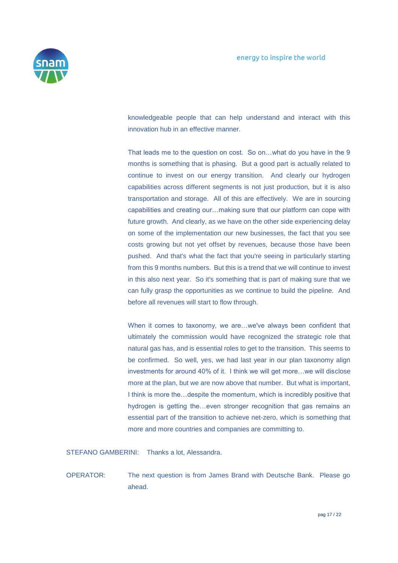

knowledgeable people that can help understand and interact with this innovation hub in an effective manner.

That leads me to the question on cost. So on…what do you have in the 9 months is something that is phasing. But a good part is actually related to continue to invest on our energy transition. And clearly our hydrogen capabilities across different segments is not just production, but it is also transportation and storage. All of this are effectively. We are in sourcing capabilities and creating our…making sure that our platform can cope with future growth. And clearly, as we have on the other side experiencing delay on some of the implementation our new businesses, the fact that you see costs growing but not yet offset by revenues, because those have been pushed. And that's what the fact that you're seeing in particularly starting from this 9 months numbers. But this is a trend that we will continue to invest in this also next year. So it's something that is part of making sure that we can fully grasp the opportunities as we continue to build the pipeline. And before all revenues will start to flow through.

When it comes to taxonomy, we are…we've always been confident that ultimately the commission would have recognized the strategic role that natural gas has, and is essential roles to get to the transition. This seems to be confirmed. So well, yes, we had last year in our plan taxonomy align investments for around 40% of it. I think we will get more…we will disclose more at the plan, but we are now above that number. But what is important, I think is more the…despite the momentum, which is incredibly positive that hydrogen is getting the…even stronger recognition that gas remains an essential part of the transition to achieve net-zero, which is something that more and more countries and companies are committing to.

STEFANO GAMBERINI: Thanks a lot, Alessandra.

OPERATOR: The next question is from James Brand with Deutsche Bank. Please go ahead.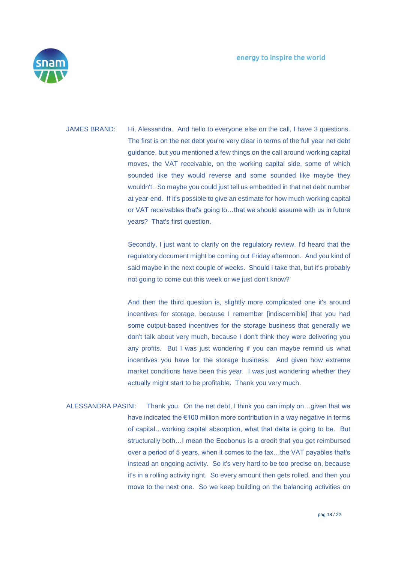

JAMES BRAND: Hi, Alessandra. And hello to everyone else on the call, I have 3 questions. The first is on the net debt you're very clear in terms of the full year net debt guidance, but you mentioned a few things on the call around working capital moves, the VAT receivable, on the working capital side, some of which sounded like they would reverse and some sounded like maybe they wouldn't. So maybe you could just tell us embedded in that net debt number at year-end. If it's possible to give an estimate for how much working capital or VAT receivables that's going to…that we should assume with us in future years? That's first question.

> Secondly, I just want to clarify on the regulatory review, I'd heard that the regulatory document might be coming out Friday afternoon. And you kind of said maybe in the next couple of weeks. Should I take that, but it's probably not going to come out this week or we just don't know?

> And then the third question is, slightly more complicated one it's around incentives for storage, because I remember [indiscernible] that you had some output-based incentives for the storage business that generally we don't talk about very much, because I don't think they were delivering you any profits. But I was just wondering if you can maybe remind us what incentives you have for the storage business. And given how extreme market conditions have been this year. I was just wondering whether they actually might start to be profitable. Thank you very much.

ALESSANDRA PASINI: Thank you. On the net debt, I think you can imply on…given that we have indicated the €100 million more contribution in a way negative in terms of capital…working capital absorption, what that delta is going to be. But structurally both…I mean the Ecobonus is a credit that you get reimbursed over a period of 5 years, when it comes to the tax…the VAT payables that's instead an ongoing activity. So it's very hard to be too precise on, because it's in a rolling activity right. So every amount then gets rolled, and then you move to the next one. So we keep building on the balancing activities on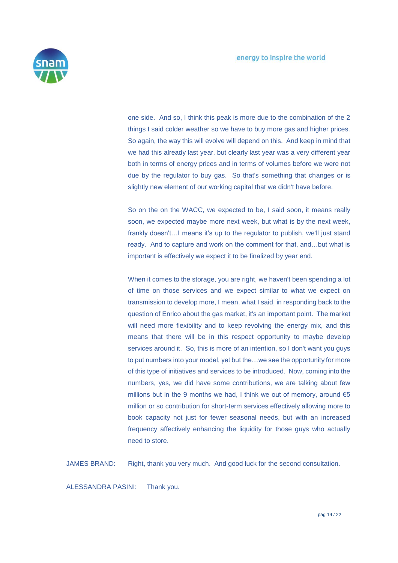

one side. And so, I think this peak is more due to the combination of the 2 things I said colder weather so we have to buy more gas and higher prices. So again, the way this will evolve will depend on this. And keep in mind that we had this already last year, but clearly last year was a very different year both in terms of energy prices and in terms of volumes before we were not due by the regulator to buy gas. So that's something that changes or is slightly new element of our working capital that we didn't have before.

So on the on the WACC, we expected to be, I said soon, it means really soon, we expected maybe more next week, but what is by the next week, frankly doesn't…I means it's up to the regulator to publish, we'll just stand ready. And to capture and work on the comment for that, and…but what is important is effectively we expect it to be finalized by year end.

When it comes to the storage, you are right, we haven't been spending a lot of time on those services and we expect similar to what we expect on transmission to develop more, I mean, what I said, in responding back to the question of Enrico about the gas market, it's an important point. The market will need more flexibility and to keep revolving the energy mix, and this means that there will be in this respect opportunity to maybe develop services around it. So, this is more of an intention, so I don't want you guys to put numbers into your model, yet but the…we see the opportunity for more of this type of initiatives and services to be introduced. Now, coming into the numbers, yes, we did have some contributions, we are talking about few millions but in the 9 months we had, I think we out of memory, around  $\epsilon$ 5 million or so contribution for short-term services effectively allowing more to book capacity not just for fewer seasonal needs, but with an increased frequency affectively enhancing the liquidity for those guys who actually need to store.

JAMES BRAND: Right, thank you very much. And good luck for the second consultation.

ALESSANDRA PASINI: Thank you.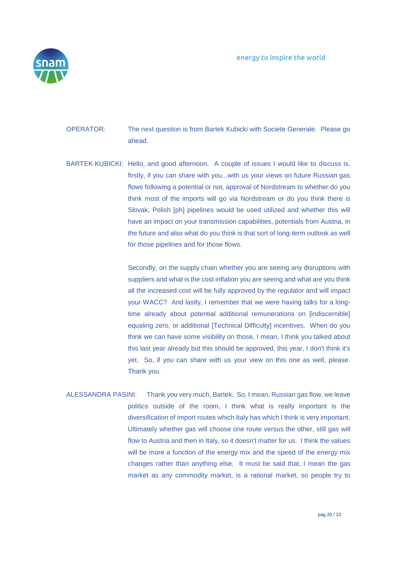

OPERATOR: The next question is from Bartek Kubicki with Societe Generale. Please go ahead.

BARTEK KUBICKI: Hello, and good afternoon. A couple of issues I would like to discuss is, firstly, if you can share with you...with us your views on future Russian gas flows following a potential or not, approval of Nordstream to whether do you think most of the imports will go via Nordstream or do you think there is Slovak, Polish [ph] pipelines would be used utilized and whether this will have an impact on your transmission capabilities, potentials from Austria, in the future and also what do you think is that sort of long-term outlook as well for those pipelines and for those flows.

> Secondly, on the supply chain whether you are seeing any disruptions with suppliers and what is the cost inflation you are seeing and what are you think all the increased cost will be fully approved by the regulator and will impact your WACC? And lastly, I remember that we were having talks for a longtime already about potential additional remunerations on [indiscernible] equaling zero, or additional [Technical Difficulty] incentives. When do you think we can have some visibility on those, I mean, I think you talked about this last year already but this should be approved, this year, I don't think it's yet. So, if you can share with us your view on this one as well, please. Thank you.

ALESSANDRA PASINI: Thank you very much, Bartek. So, I mean, Russian gas flow, we leave politics outside of the room, I think what is really important is the diversification of import routes which Italy has which I think is very important. Ultimately whether gas will choose one route versus the other, still gas will flow to Austria and then in Italy, so it doesn't matter for us. I think the values will be more a function of the energy mix and the speed of the energy mix changes rather than anything else. It must be said that, I mean the gas market as any commodity market, is a rational market, so people try to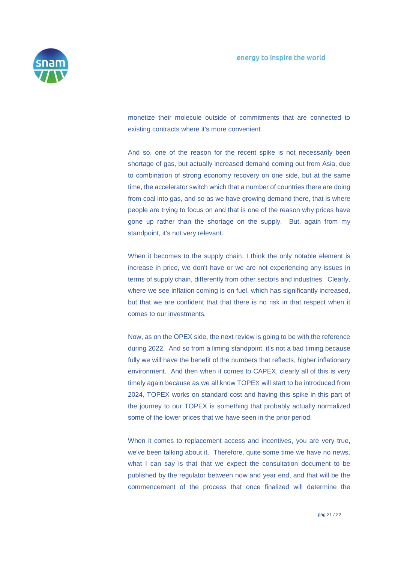

monetize their molecule outside of commitments that are connected to existing contracts where it's more convenient.

And so, one of the reason for the recent spike is not necessarily been shortage of gas, but actually increased demand coming out from Asia, due to combination of strong economy recovery on one side, but at the same time, the accelerator switch which that a number of countries there are doing from coal into gas, and so as we have growing demand there, that is where people are trying to focus on and that is one of the reason why prices have gone up rather than the shortage on the supply. But, again from my standpoint, it's not very relevant.

When it becomes to the supply chain, I think the only notable element is increase in price, we don't have or we are not experiencing any issues in terms of supply chain, differently from other sectors and industries. Clearly, where we see inflation coming is on fuel, which has significantly increased, but that we are confident that that there is no risk in that respect when it comes to our investments.

Now, as on the OPEX side, the next review is going to be with the reference during 2022. And so from a liming standpoint, it's not a bad timing because fully we will have the benefit of the numbers that reflects, higher inflationary environment. And then when it comes to CAPEX, clearly all of this is very timely again because as we all know TOPEX will start to be introduced from 2024, TOPEX works on standard cost and having this spike in this part of the journey to our TOPEX is something that probably actually normalized some of the lower prices that we have seen in the prior period.

When it comes to replacement access and incentives, you are very true, we've been talking about it. Therefore, quite some time we have no news, what I can say is that that we expect the consultation document to be published by the regulator between now and year end, and that will be the commencement of the process that once finalized will determine the